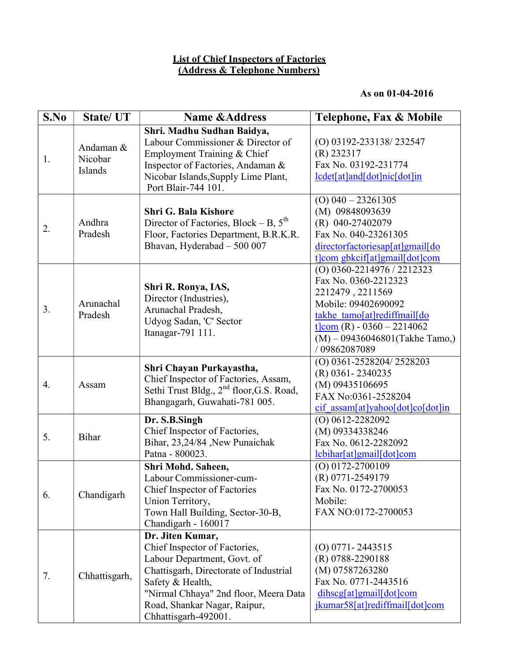## List of Chief Inspectors of Factories (Address & Telephone Numbers)

## As on 01-04-2016

| S.No | State/UT                        | <b>Name &amp;Address</b>                                                                                                                                                                                                                        | Telephone, Fax & Mobile                                                                                                                                                                                            |
|------|---------------------------------|-------------------------------------------------------------------------------------------------------------------------------------------------------------------------------------------------------------------------------------------------|--------------------------------------------------------------------------------------------------------------------------------------------------------------------------------------------------------------------|
| 1.   | Andaman &<br>Nicobar<br>Islands | Shri. Madhu Sudhan Baidya,<br>Labour Commissioner & Director of<br>Employment Training & Chief<br>Inspector of Factories, Andaman &<br>Nicobar Islands, Supply Lime Plant,<br>Port Blair-744 101.                                               | (O) 03192-233138/232547<br>$(R)$ 232317<br>Fax No. 03192-231774<br>lcdet[at]and[dot]nic[dot]in                                                                                                                     |
| 2.   | Andhra<br>Pradesh               | <b>Shri G. Bala Kishore</b><br>Director of Factories, Block – B, $5^{\text{th}}$<br>Floor, Factories Department, B.R.K.R.<br>Bhavan, Hyderabad - 500 007                                                                                        | $(O)$ 040 - 23261305<br>(M) 09848093639<br>(R) 040-27402079<br>Fax No. 040-23261305<br>directorfactoriesap[at]gmail[do<br>t]com gbkcif[at]gmail[dot]com                                                            |
| 3.   | Arunachal<br>Pradesh            | Shri R. Ronya, IAS,<br>Director (Industries),<br>Arunachal Pradesh,<br>Udyog Sadan, 'C' Sector<br>Itanagar-791 111.                                                                                                                             | (O) 0360-2214976 / 2212323<br>Fax No. 0360-2212323<br>2212479, 2211569<br>Mobile: 09402690092<br>takhe tamo[at]rediffmail[do<br>t $lcom(R) - 0360 - 2214062$<br>$(M) - 09436046801$ (Takhe Tamo,)<br>/ 09862087089 |
| 4.   | Assam                           | Shri Chayan Purkayastha,<br>Chief Inspector of Factories, Assam,<br>Sethi Trust Bldg., 2 <sup>nd</sup> floor, G.S. Road,<br>Bhangagarh, Guwahati-781 005.                                                                                       | (O) 0361-2528204/2528203<br>(R) 0361-2340235<br>(M) 09435106695<br>FAX No:0361-2528204<br>$\frac{\text{cif } \text{assam}[at] \text{valoo}[ \text{dot}] \text{co}[ \text{dot}] \text{in}}{ \text{dist}}$           |
| 5.   | Bihar                           | Dr. S.B.Singh<br>Chief Inspector of Factories,<br>Bihar, 23,24/84 , New Punaichak<br>Patna - 800023.                                                                                                                                            | $(O)$ 0612-2282092<br>(M) 09334338246<br>Fax No. 0612-2282092<br>lcbihar[at]gmail[dot]com                                                                                                                          |
| 6.   | Chandigarh                      | Shri Mohd. Saheen,<br>Labour Commissioner-cum-<br>Chief Inspector of Factories<br>Union Territory,<br>Town Hall Building, Sector-30-B,<br>Chandigarh - 160017                                                                                   | $(O)$ 0172-2700109<br>(R) 0771-2549179<br>Fax No. 0172-2700053<br>Mobile:<br>FAX NO:0172-2700053                                                                                                                   |
| 7.   | Chhattisgarh,                   | Dr. Jiten Kumar,<br>Chief Inspector of Factories,<br>Labour Department, Govt. of<br>Chattisgarh, Directorate of Industrial<br>Safety & Health,<br>"Nirmal Chhaya" 2nd floor, Meera Data<br>Road, Shankar Nagar, Raipur,<br>Chhattisgarh-492001. | $(O) 0771 - 2443515$<br>(R) 0788-2290188<br>(M) 07587263280<br>Fax No. 0771-2443516<br>dihscg[at]gmail[dot]com<br>jkumar58[at]rediffmail[dot]com                                                                   |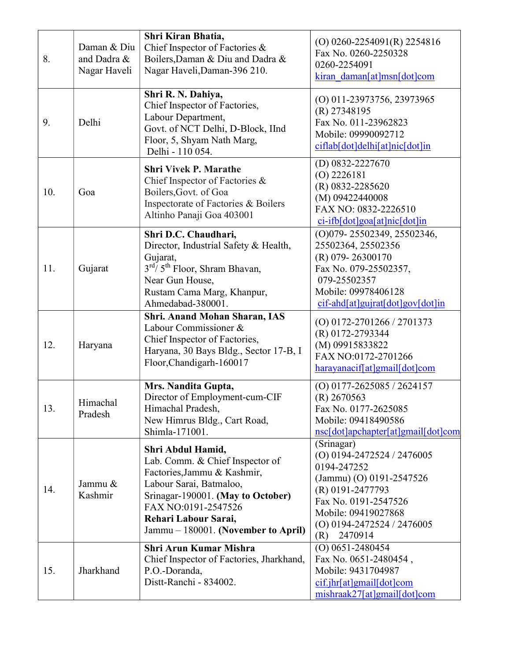| 8.  | Daman & Diu<br>and Dadra &<br>Nagar Haveli | Shri Kiran Bhatia,<br>Chief Inspector of Factories &<br>Boilers, Daman & Diu and Dadra &<br>Nagar Haveli, Daman-396 210.                                                                                                                  | $(O)$ 0260-2254091(R) 2254816<br>Fax No. 0260-2250328<br>0260-2254091<br>kiran daman[at]msn[dot]com                                                                                                      |
|-----|--------------------------------------------|-------------------------------------------------------------------------------------------------------------------------------------------------------------------------------------------------------------------------------------------|----------------------------------------------------------------------------------------------------------------------------------------------------------------------------------------------------------|
| 9.  | Delhi                                      | Shri R. N. Dahiya,<br>Chief Inspector of Factories,<br>Labour Department,<br>Govt. of NCT Delhi, D-Block, IInd<br>Floor, 5, Shyam Nath Marg,<br>Delhi - 110 054.                                                                          | (O) 011-23973756, 23973965<br>$(R)$ 27348195<br>Fax No. 011-23962823<br>Mobile: 09990092712<br>ciflab[dot]delhi[at]nic[dot]in                                                                            |
| 10. | Goa                                        | <b>Shri Vivek P. Marathe</b><br>Chief Inspector of Factories &<br>Boilers, Govt. of Goa<br>Inspectorate of Factories & Boilers<br>Altinho Panaji Goa 403001                                                                               | $(D)$ 0832-2227670<br>$(O)$ 2226181<br>(R) 0832-2285620<br>(M) 09422440008<br>FAX NO: 0832-2226510<br><u>ci-ifb[dot]goa[at]nic[dot]in</u>                                                                |
| 11. | Gujarat                                    | Shri D.C. Chaudhari,<br>Director, Industrial Safety & Health,<br>Gujarat,<br>$3^{\text{rd}}$ 5 <sup>th</sup> Floor, Shram Bhavan,<br>Near Gun House,<br>Rustam Cama Marg, Khanpur,<br>Ahmedabad-380001.                                   | (O)079-25502349, 25502346,<br>25502364, 25502356<br>(R) 079-26300170<br>Fax No. 079-25502357,<br>079-25502357<br>Mobile: 09978406128<br>cif-ahd[at]gujrat[dot]gov[dot]in                                 |
| 12. | Haryana                                    | Shri. Anand Mohan Sharan, IAS<br>Labour Commissioner &<br>Chief Inspector of Factories,<br>Haryana, 30 Bays Bldg., Sector 17-B, I<br>Floor, Chandigarh-160017                                                                             | (O) 0172-2701266 / 2701373<br>(R) 0172-2793344<br>(M) 09915833822<br>FAX NO:0172-2701266<br>harayanacif[at]gmail[dot]com                                                                                 |
| 13. | Himachal<br>Pradesh                        | Mrs. Nandita Gupta,<br>Director of Employment-cum-CIF<br>Himachal Pradesh,<br>New Himrus Bldg., Cart Road,<br>Shimla-171001.                                                                                                              | (O) 0177-2625085 / 2624157<br>$(R)$ 2670563<br>Fax No. 0177-2625085<br>Mobile: 09418490586<br>nsc[dot]apchapter[at]gmail[dot]com                                                                         |
| 14. | Jammu &<br>Kashmir                         | Shri Abdul Hamid,<br>Lab. Comm. & Chief Inspector of<br>Factories, Jammu & Kashmir,<br>Labour Sarai, Batmaloo,<br>Srinagar-190001. (May to October)<br>FAX NO:0191-2547526<br>Rehari Labour Sarai,<br>Jammu – 180001. (November to April) | (Srinagar)<br>$(O)$ 0194-2472524 / 2476005<br>0194-247252<br>(Jammu) (O) 0191-2547526<br>(R) 0191-2477793<br>Fax No. 0191-2547526<br>Mobile: 09419027868<br>(O) 0194-2472524 / 2476005<br>2470914<br>(R) |
| 15. | Jharkhand                                  | <b>Shri Arun Kumar Mishra</b><br>Chief Inspector of Factories, Jharkhand,<br>P.O.-Doranda,<br>Distt-Ranchi - 834002.                                                                                                                      | $(O)$ 0651-2480454<br>Fax No. 0651-2480454,<br>Mobile: 9431704987<br>$\frac{\text{cif.}}{\text{phf}}$ [at]gmail[dot]com<br>mishraak27[at]gmail[dot]com                                                   |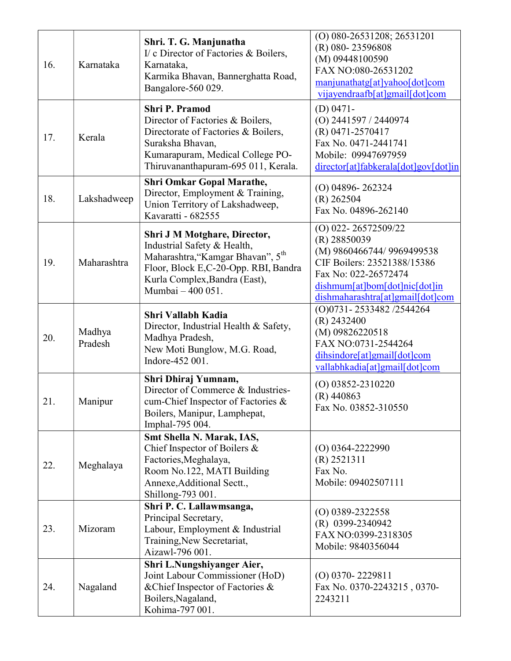| 16. | Karnataka         | Shri. T. G. Manjunatha<br>I/ c Director of Factories & Boilers,<br>Karnataka,<br>Karmika Bhavan, Bannerghatta Road,<br>Bangalore-560 029.                                                                  | (O) 080-26531208; 26531201<br>(R) 080-23596808<br>(M) 09448100590<br>FAX NO:080-26531202<br>manjunathatg[at]yahoo[dot]com<br>vijayendraafb[at]gmail[dot]com                                       |
|-----|-------------------|------------------------------------------------------------------------------------------------------------------------------------------------------------------------------------------------------------|---------------------------------------------------------------------------------------------------------------------------------------------------------------------------------------------------|
| 17. | Kerala            | <b>Shri P. Pramod</b><br>Director of Factories & Boilers,<br>Directorate of Factories & Boilers,<br>Suraksha Bhavan,<br>Kumarapuram, Medical College PO-<br>Thiruvananthapuram-695 011, Kerala.            | $(D)$ 0471-<br>$(O)$ 2441597 / 2440974<br>(R) 0471-2570417<br>Fax No. 0471-2441741<br>Mobile: 09947697959<br>director[at]fabkerala[dot]gov[dot]in                                                 |
| 18. | Lakshadweep       | <b>Shri Omkar Gopal Marathe,</b><br>Director, Employment & Training,<br>Union Territory of Lakshadweep,<br>Kavaratti - 682555                                                                              | $(O)$ 04896-262324<br>$(R)$ 262504<br>Fax No. 04896-262140                                                                                                                                        |
| 19. | Maharashtra       | Shri J M Motghare, Director,<br>Industrial Safety & Health,<br>Maharashtra, "Kamgar Bhavan", 5 <sup>th</sup><br>Floor, Block E,C-20-Opp. RBI, Bandra<br>Kurla Complex, Bandra (East),<br>Mumbai - 400 051. | $(O)$ 022-26572509/22<br>$(R)$ 28850039<br>(M) 9860466744/ 9969499538<br>CIF Boilers: 23521388/15386<br>Fax No: 022-26572474<br>dishmum[at]bom[dot]nic[dot]in<br>dishmaharashtra[at]gmail[dot]com |
| 20. | Madhya<br>Pradesh | Shri Vallabh Kadia<br>Director, Industrial Health & Safety,<br>Madhya Pradesh,<br>New Moti Bunglow, M.G. Road,<br>Indore-452 001.                                                                          | (O)0731-2533482/2544264<br>$(R)$ 2432400<br>(M) 09826220518<br>FAX NO:0731-2544264<br>dihsindore[at]gmail[dot]com<br>vallabhkadia[at]gmail[dot]com                                                |
| 21  | Manipur           | Shri Dhiraj Yumnam,<br>Director of Commerce & Industries-<br>cum-Chief Inspector of Factories &<br>Boilers, Manipur, Lamphepat,<br>Imphal-795 004.                                                         | $(O)$ 03852-2310220<br>$(R)$ 440863<br>Fax No. 03852-310550                                                                                                                                       |
| 22. | Meghalaya         | Smt Shella N. Marak, IAS,<br>Chief Inspector of Boilers &<br>Factories, Meghalaya,<br>Room No.122, MATI Building<br>Annexe, Additional Sectt.,<br>Shillong-793 001.                                        | $(O)$ 0364-2222990<br>$(R)$ 2521311<br>Fax No.<br>Mobile: 09402507111                                                                                                                             |
| 23. | Mizoram           | Shri P. C. Lallawmsanga,<br>Principal Secretary,<br>Labour, Employment & Industrial<br>Training, New Secretariat,<br>Aizawl-796 001.                                                                       | $(O)$ 0389-2322558<br>$(R)$ 0399-2340942<br>FAX NO:0399-2318305<br>Mobile: 9840356044                                                                                                             |
| 24. | Nagaland          | Shri L.Nungshiyanger Aier,<br>Joint Labour Commissioner (HoD)<br>& Chief Inspector of Factories &<br>Boilers, Nagaland,<br>Kohima-797 001.                                                                 | $(O)$ 0370-2229811<br>Fax No. 0370-2243215, 0370-<br>2243211                                                                                                                                      |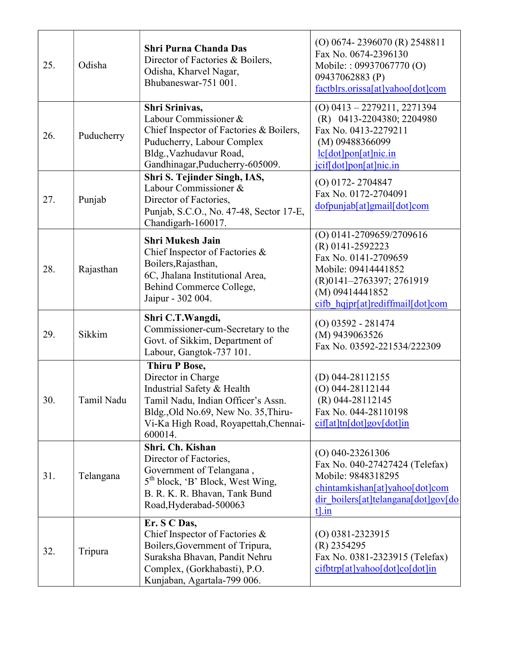| 25. | Odisha     | <b>Shri Purna Chanda Das</b><br>Director of Factories & Boilers,<br>Odisha, Kharvel Nagar,<br>Bhubaneswar-751 001.                                                                                         | (O) 0674-2396070 (R) 2548811<br>Fax No. 0674-2396130<br>Mobile:: 09937067770 (O)<br>09437062883 (P)<br>factblrs.orissa[at]yahoo[dot]com                                           |
|-----|------------|------------------------------------------------------------------------------------------------------------------------------------------------------------------------------------------------------------|-----------------------------------------------------------------------------------------------------------------------------------------------------------------------------------|
| 26. | Puducherry | Shri Srinivas,<br>Labour Commissioner &<br>Chief Inspector of Factories & Boilers,<br>Puducherry, Labour Complex<br>Bldg., Vazhudavur Road,<br>Gandhinagar, Puducherry-605009.                             | $(O)$ 0413 - 2279211, 2271394<br>(R) 0413-2204380; 2204980<br>Fax No. 0413-2279211<br>(M) 09488366099<br>lc[dot]pon[at]nic.in<br>jcif[dot]pon[at]nic.in                           |
| 27. | Punjab     | Shri S. Tejinder Singh, IAS,<br>Labour Commissioner &<br>Director of Factories,<br>Punjab, S.C.O., No. 47-48, Sector 17-E,<br>Chandigarh-160017.                                                           | $(O)$ 0172-2704847<br>Fax No. 0172-2704091<br>dofpunjab[at]gmail[dot]com                                                                                                          |
| 28. | Rajasthan  | <b>Shri Mukesh Jain</b><br>Chief Inspector of Factories &<br>Boilers, Rajasthan,<br>6C, Jhalana Institutional Area,<br>Behind Commerce College,<br>Jaipur - 302 004.                                       | (O) 0141-2709659/2709616<br>(R) 0141-2592223<br>Fax No. 0141-2709659<br>Mobile: 09414441852<br>(R)0141-2763397; 2761919<br>(M) 09414441852<br>cifb hqjpr[at]rediffmail[dot]com    |
| 29. | Sikkim     | Shri C.T.Wangdi,<br>Commissioner-cum-Secretary to the<br>Govt. of Sikkim, Department of<br>Labour, Gangtok-737 101.                                                                                        | $(O)$ 03592 - 281474<br>(M) 9439063526<br>Fax No. 03592-221534/222309                                                                                                             |
| 30. | Tamil Nadu | <b>Thiru P Bose,</b><br>Director in Charge<br>Industrial Safety & Health<br>Tamil Nadu, Indian Officer's Assn.<br>Bldg., Old No.69, New No. 35, Thiru-<br>Vi-Ka High Road, Royapettah, Chennai-<br>600014. | (D) $044-28112155$<br>$(O)$ 044-28112144<br>(R) 044-28112145<br>Fax No. 044-28110198<br>$\frac{\text{cif}[at] \text{tn}[\text{dot}] \text{gov}[\text{dot}] \text{in}}{\text{cm}}$ |
| 31. | Telangana  | Shri. Ch. Kishan<br>Director of Factories,<br>Government of Telangana,<br>5 <sup>th</sup> block, 'B' Block, West Wing,<br>B. R. K. R. Bhavan, Tank Bund<br>Road, Hyderabad-500063                          | $(O)$ 040-23261306<br>Fax No. 040-27427424 (Telefax)<br>Mobile: 9848318295<br>chintamkishan[at]yahoo[dot]com<br>dir boilers[at]telangana[dot]gov[do<br>$t$ ].in                   |
| 32. | Tripura    | Er. S C Das,<br>Chief Inspector of Factories &<br>Boilers, Government of Tripura,<br>Suraksha Bhavan, Pandit Nehru<br>Complex, (Gorkhabasti), P.O.<br>Kunjaban, Agartala-799 006.                          | $(O)$ 0381-2323915<br>$(R)$ 2354295<br>Fax No. 0381-2323915 (Telefax)<br>cifbtrp[at]yahoo[dot]co[dot]in                                                                           |